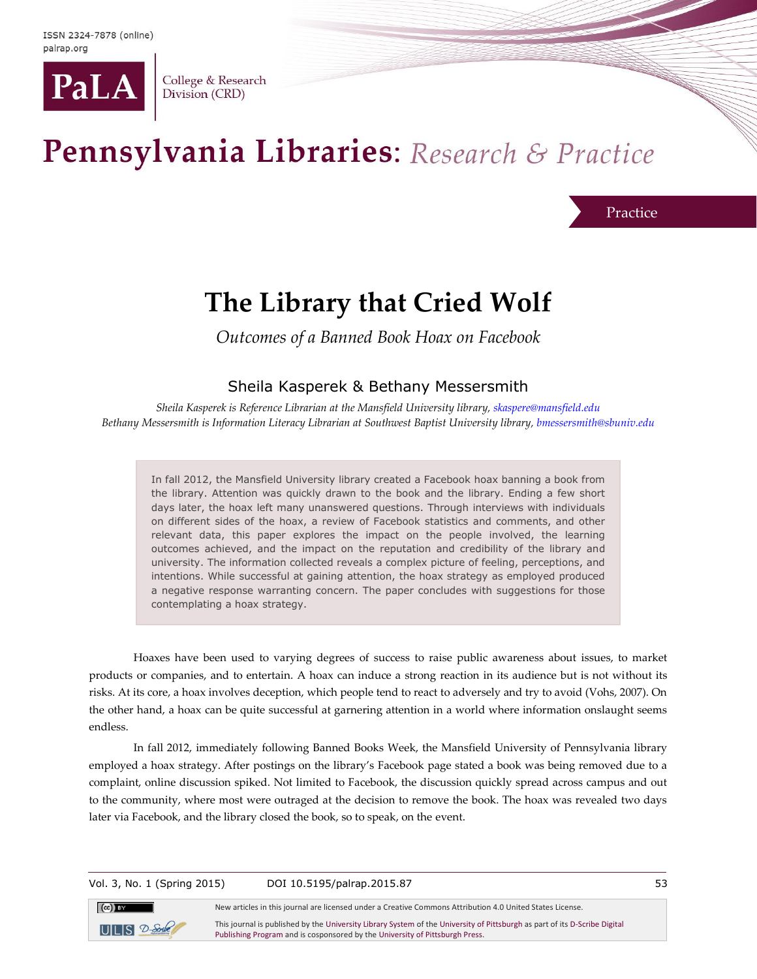

College & Research Division (CRD)

# Pennsylvania Libraries: Research & Practice

Practice

## **The Library that Cried Wolf**

*Outcomes of a Banned Book Hoax on Facebook*

## Sheila Kasperek & Bethany Messersmith

*Sheila Kasperek is Reference Librarian at the Mansfield University library, [skaspere@mansfield.edu](mailto:skaspere@mansfield.edu) Bethany Messersmith is Information Literacy Librarian at Southwest Baptist University library, [bmessersmith@sbuniv.edu](mailto:bmessersmith@sbuniv.edu)*

In fall 2012, the Mansfield University library created a Facebook hoax banning a book from the library. Attention was quickly drawn to the book and the library. Ending a few short days later, the hoax left many unanswered questions. Through interviews with individuals on different sides of the hoax, a review of Facebook statistics and comments, and other relevant data, this paper explores the impact on the people involved, the learning outcomes achieved, and the impact on the reputation and credibility of the library and university. The information collected reveals a complex picture of feeling, perceptions, and intentions. While successful at gaining attention, the hoax strategy as employed produced a negative response warranting concern. The paper concludes with suggestions for those contemplating a hoax strategy.

Hoaxes have been used to varying degrees of success to raise public awareness about issues, to market products or companies, and to entertain. A hoax can induce a strong reaction in its audience but is not without its risks. At its core, a hoax involves deception, which people tend to react to adversely and try to avoid (Vohs, 2007). On the other hand, a hoax can be quite successful at garnering attention in a world where information onslaught seems endless.

In fall 2012, immediately following Banned Books Week, the Mansfield University of Pennsylvania library employed a hoax strategy. After postings on the library's Facebook page stated a book was being removed due to a complaint, online discussion spiked. Not limited to Facebook, the discussion quickly spread across campus and out to the community, where most were outraged at the decision to remove the book. The hoax was revealed two days later via Facebook, and the library closed the book, so to speak, on the event.

Vol. 3, No. 1 (Spring 2015) DOI 10.5195/palrap.2015.87 53

[Publishing Program](http://www.library.pitt.edu/d-scribe-digital-collections) and is cosponsored by th[e University of Pittsburgh Press.](http://upress.pitt.edu/)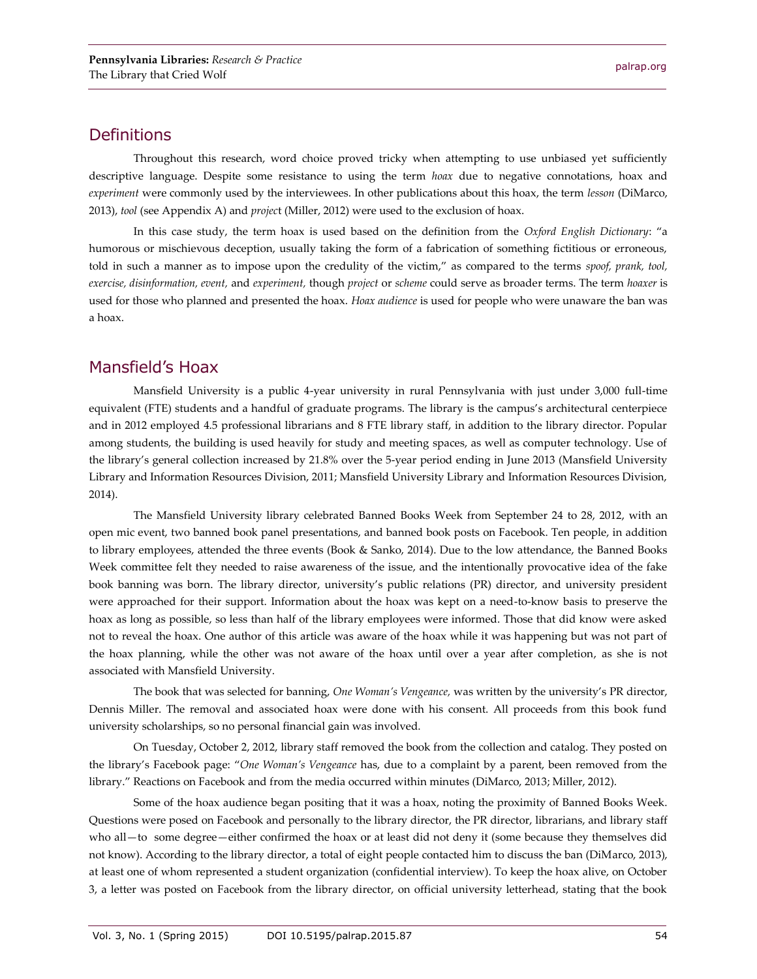## **Definitions**

Throughout this research, word choice proved tricky when attempting to use unbiased yet sufficiently descriptive language. Despite some resistance to using the term *hoax* due to negative connotations, hoax and *experiment* were commonly used by the interviewees. In other publications about this hoax, the term *lesson* (DiMarco, 2013), *tool* (see Appendix A) and *projec*t (Miller, 2012) were used to the exclusion of hoax.

In this case study, the term hoax is used based on the definition from the *Oxford English Dictionary*: "a humorous or mischievous deception, usually taking the form of a fabrication of something fictitious or erroneous, told in such a manner as to impose upon the credulity of the victim," as compared to the terms *spoof, prank, tool, exercise, disinformation, event,* and *experiment,* though *project* or *scheme* could serve as broader terms. The term *hoaxer* is used for those who planned and presented the hoax. *Hoax audience* is used for people who were unaware the ban was a hoax.

## Mansfield's Hoax

Mansfield University is a public 4-year university in rural Pennsylvania with just under 3,000 full-time equivalent (FTE) students and a handful of graduate programs. The library is the campus's architectural centerpiece and in 2012 employed 4.5 professional librarians and 8 FTE library staff, in addition to the library director. Popular among students, the building is used heavily for study and meeting spaces, as well as computer technology. Use of the library's general collection increased by 21.8% over the 5-year period ending in June 2013 (Mansfield University Library and Information Resources Division, 2011; Mansfield University Library and Information Resources Division, 2014).

The Mansfield University library celebrated Banned Books Week from September 24 to 28, 2012, with an open mic event, two banned book panel presentations, and banned book posts on Facebook. Ten people, in addition to library employees, attended the three events (Book & Sanko, 2014). Due to the low attendance, the Banned Books Week committee felt they needed to raise awareness of the issue, and the intentionally provocative idea of the fake book banning was born. The library director, university's public relations (PR) director, and university president were approached for their support. Information about the hoax was kept on a need-to-know basis to preserve the hoax as long as possible, so less than half of the library employees were informed. Those that did know were asked not to reveal the hoax. One author of this article was aware of the hoax while it was happening but was not part of the hoax planning, while the other was not aware of the hoax until over a year after completion, as she is not associated with Mansfield University.

The book that was selected for banning, *One Woman's Vengeance,* was written by the university's PR director, Dennis Miller. The removal and associated hoax were done with his consent. All proceeds from this book fund university scholarships, so no personal financial gain was involved.

On Tuesday, October 2, 2012, library staff removed the book from the collection and catalog. They posted on the library's Facebook page: "*One Woman's Vengeance* has, due to a complaint by a parent, been removed from the library." Reactions on Facebook and from the media occurred within minutes (DiMarco, 2013; Miller, 2012).

Some of the hoax audience began positing that it was a hoax, noting the proximity of Banned Books Week. Questions were posed on Facebook and personally to the library director, the PR director, librarians, and library staff who all—to some degree—either confirmed the hoax or at least did not deny it (some because they themselves did not know). According to the library director, a total of eight people contacted him to discuss the ban (DiMarco, 2013), at least one of whom represented a student organization (confidential interview). To keep the hoax alive, on October 3, a letter was posted on Facebook from the library director, on official university letterhead, stating that the book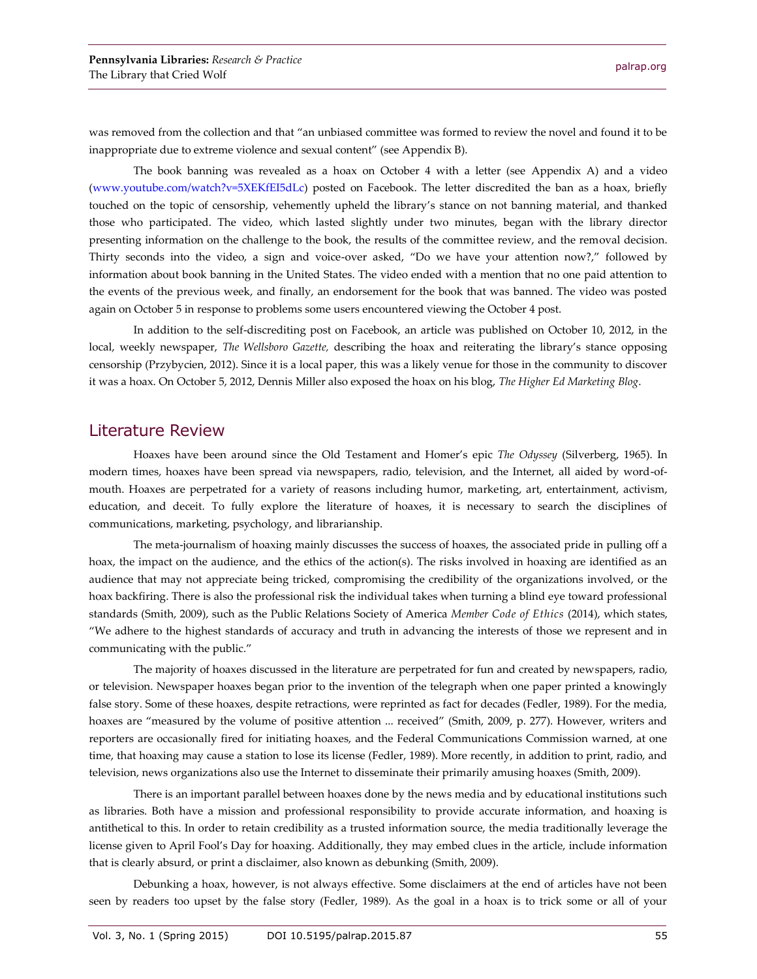was removed from the collection and that "an unbiased committee was formed to review the novel and found it to be inappropriate due to extreme violence and sexual content" (see Appendix B).

The book banning was revealed as a hoax on October 4 with a letter (see Appendix A) and a video [\(www.youtube.com/watch?v=5XEKfEI5dLc\)](http://www.youtube.com/watch?v=5XEKfEI5dLc) posted on Facebook. The letter discredited the ban as a hoax, briefly touched on the topic of censorship, vehemently upheld the library's stance on not banning material, and thanked those who participated. The video, which lasted slightly under two minutes, began with the library director presenting information on the challenge to the book, the results of the committee review, and the removal decision. Thirty seconds into the video, a sign and voice-over asked, "Do we have your attention now?," followed by information about book banning in the United States. The video ended with a mention that no one paid attention to the events of the previous week, and finally, an endorsement for the book that was banned. The video was posted again on October 5 in response to problems some users encountered viewing the October 4 post.

In addition to the self-discrediting post on Facebook, an article was published on October 10, 2012, in the local, weekly newspaper, *The Wellsboro Gazette,* describing the hoax and reiterating the library's stance opposing censorship (Przybycien, 2012). Since it is a local paper, this was a likely venue for those in the community to discover it was a hoax. On October 5, 2012, Dennis Miller also exposed the hoax on his blog, *The Higher Ed Marketing Blog*.

#### Literature Review

Hoaxes have been around since the Old Testament and Homer's epic *The Odyssey* (Silverberg, 1965). In modern times, hoaxes have been spread via newspapers, radio, television, and the Internet, all aided by word-ofmouth. Hoaxes are perpetrated for a variety of reasons including humor, marketing, art, entertainment, activism, education, and deceit. To fully explore the literature of hoaxes, it is necessary to search the disciplines of communications, marketing, psychology, and librarianship.

The meta-journalism of hoaxing mainly discusses the success of hoaxes, the associated pride in pulling off a hoax, the impact on the audience, and the ethics of the action(s). The risks involved in hoaxing are identified as an audience that may not appreciate being tricked, compromising the credibility of the organizations involved, or the hoax backfiring. There is also the professional risk the individual takes when turning a blind eye toward professional standards (Smith, 2009), such as the Public Relations Society of America *Member Code of Ethics* (2014), which states, "We adhere to the highest standards of accuracy and truth in advancing the interests of those we represent and in communicating with the public."

The majority of hoaxes discussed in the literature are perpetrated for fun and created by newspapers, radio, or television. Newspaper hoaxes began prior to the invention of the telegraph when one paper printed a knowingly false story. Some of these hoaxes, despite retractions, were reprinted as fact for decades (Fedler, 1989). For the media, hoaxes are "measured by the volume of positive attention ... received" (Smith, 2009, p. 277). However, writers and reporters are occasionally fired for initiating hoaxes, and the Federal Communications Commission warned, at one time, that hoaxing may cause a station to lose its license (Fedler, 1989). More recently, in addition to print, radio, and television, news organizations also use the Internet to disseminate their primarily amusing hoaxes (Smith, 2009).

There is an important parallel between hoaxes done by the news media and by educational institutions such as libraries. Both have a mission and professional responsibility to provide accurate information, and hoaxing is antithetical to this. In order to retain credibility as a trusted information source, the media traditionally leverage the license given to April Fool's Day for hoaxing. Additionally, they may embed clues in the article, include information that is clearly absurd, or print a disclaimer, also known as debunking (Smith, 2009).

Debunking a hoax, however, is not always effective. Some disclaimers at the end of articles have not been seen by readers too upset by the false story (Fedler, 1989). As the goal in a hoax is to trick some or all of your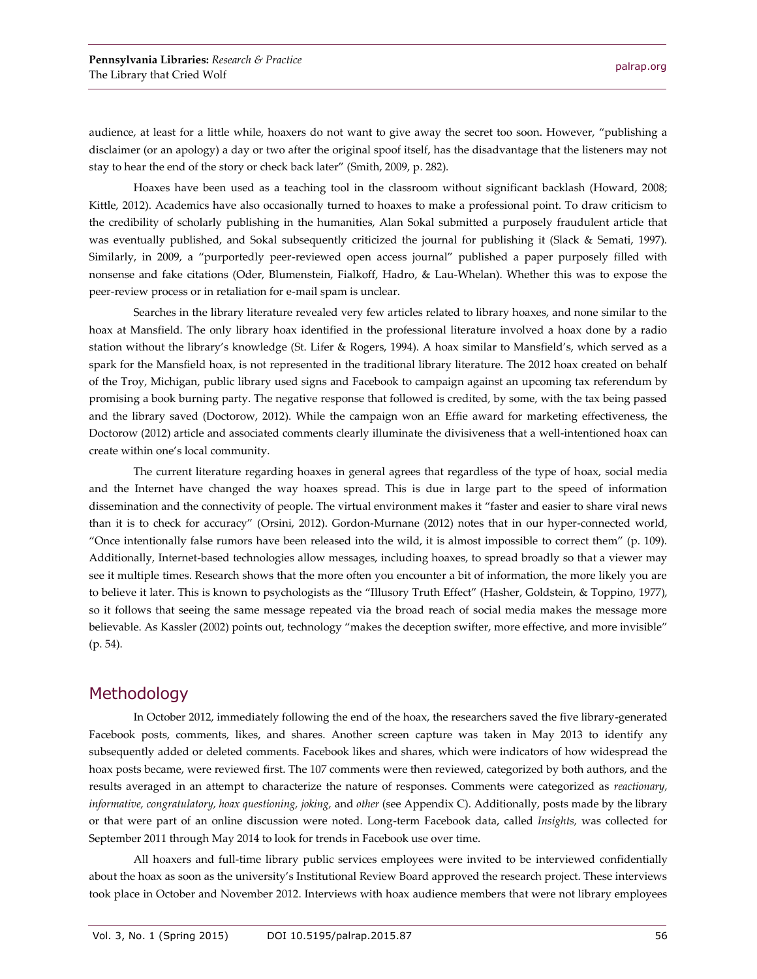audience, at least for a little while, hoaxers do not want to give away the secret too soon. However, "publishing a disclaimer (or an apology) a day or two after the original spoof itself, has the disadvantage that the listeners may not stay to hear the end of the story or check back later" (Smith, 2009, p. 282).

Hoaxes have been used as a teaching tool in the classroom without significant backlash (Howard, 2008; Kittle, 2012). Academics have also occasionally turned to hoaxes to make a professional point. To draw criticism to the credibility of scholarly publishing in the humanities, Alan Sokal submitted a purposely fraudulent article that was eventually published, and Sokal subsequently criticized the journal for publishing it (Slack & Semati, 1997). Similarly, in 2009, a "purportedly peer-reviewed open access journal" published a paper purposely filled with nonsense and fake citations (Oder, Blumenstein, Fialkoff, Hadro, & Lau-Whelan). Whether this was to expose the peer-review process or in retaliation for e-mail spam is unclear.

Searches in the library literature revealed very few articles related to library hoaxes, and none similar to the hoax at Mansfield. The only library hoax identified in the professional literature involved a hoax done by a radio station without the library's knowledge (St. Lifer & Rogers, 1994). A hoax similar to Mansfield's, which served as a spark for the Mansfield hoax, is not represented in the traditional library literature. The 2012 hoax created on behalf of the Troy, Michigan, public library used signs and Facebook to campaign against an upcoming tax referendum by promising a book burning party. The negative response that followed is credited, by some, with the tax being passed and the library saved (Doctorow, 2012). While the campaign won an Effie award for marketing effectiveness, the Doctorow (2012) article and associated comments clearly illuminate the divisiveness that a well-intentioned hoax can create within one's local community.

The current literature regarding hoaxes in general agrees that regardless of the type of hoax, social media and the Internet have changed the way hoaxes spread. This is due in large part to the speed of information dissemination and the connectivity of people. The virtual environment makes it "faster and easier to share viral news than it is to check for accuracy" (Orsini, 2012). Gordon-Murnane (2012) notes that in our hyper-connected world, "Once intentionally false rumors have been released into the wild, it is almost impossible to correct them" (p. 109). Additionally, Internet-based technologies allow messages, including hoaxes, to spread broadly so that a viewer may see it multiple times. Research shows that the more often you encounter a bit of information, the more likely you are to believe it later. This is known to psychologists as the "Illusory Truth Effect" (Hasher, Goldstein, & Toppino, 1977), so it follows that seeing the same message repeated via the broad reach of social media makes the message more believable. As Kassler (2002) points out, technology "makes the deception swifter, more effective, and more invisible" (p. 54).

#### **Methodology**

In October 2012, immediately following the end of the hoax, the researchers saved the five library-generated Facebook posts, comments, likes, and shares. Another screen capture was taken in May 2013 to identify any subsequently added or deleted comments. Facebook likes and shares, which were indicators of how widespread the hoax posts became, were reviewed first. The 107 comments were then reviewed, categorized by both authors, and the results averaged in an attempt to characterize the nature of responses. Comments were categorized as *reactionary, informative, congratulatory, hoax questioning, joking,* and *other* (see Appendix C). Additionally, posts made by the library or that were part of an online discussion were noted. Long-term Facebook data, called *Insights,* was collected for September 2011 through May 2014 to look for trends in Facebook use over time.

All hoaxers and full-time library public services employees were invited to be interviewed confidentially about the hoax as soon as the university's Institutional Review Board approved the research project. These interviews took place in October and November 2012. Interviews with hoax audience members that were not library employees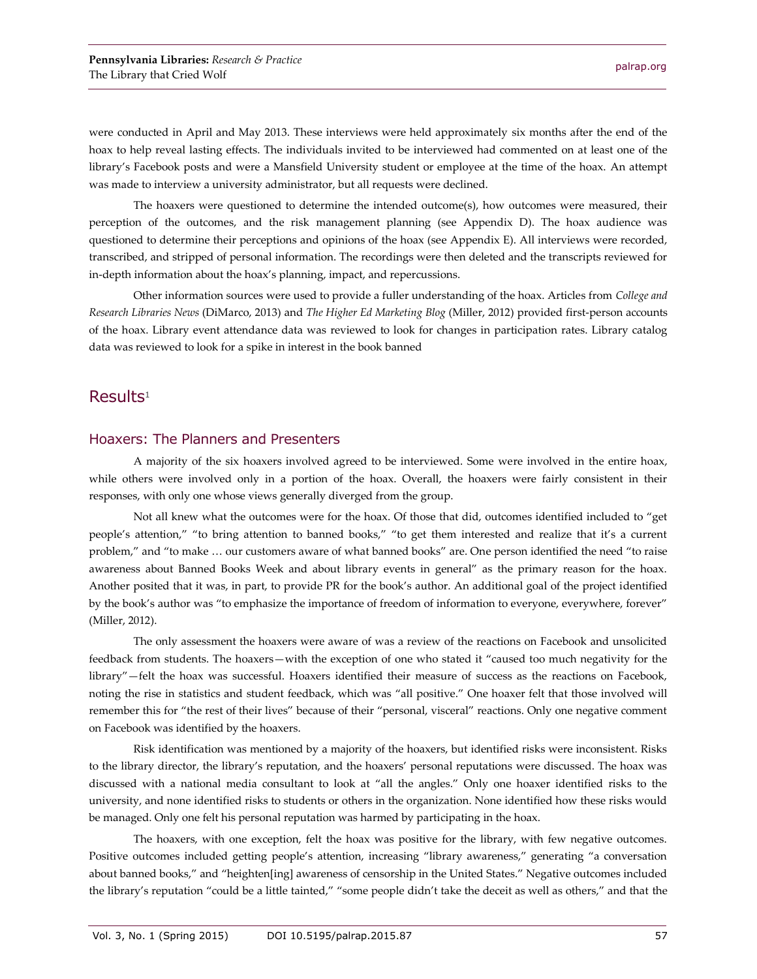were conducted in April and May 2013. These interviews were held approximately six months after the end of the hoax to help reveal lasting effects. The individuals invited to be interviewed had commented on at least one of the library's Facebook posts and were a Mansfield University student or employee at the time of the hoax. An attempt was made to interview a university administrator, but all requests were declined.

The hoaxers were questioned to determine the intended outcome(s), how outcomes were measured, their perception of the outcomes, and the risk management planning (see Appendix D). The hoax audience was questioned to determine their perceptions and opinions of the hoax (see Appendix E). All interviews were recorded, transcribed, and stripped of personal information. The recordings were then deleted and the transcripts reviewed for in-depth information about the hoax's planning, impact, and repercussions.

Other information sources were used to provide a fuller understanding of the hoax. Articles from *College and Research Libraries News* (DiMarco, 2013) and *The Higher Ed Marketing Blog* (Miller, 2012) provided first-person accounts of the hoax. Library event attendance data was reviewed to look for changes in participation rates. Library catalog data was reviewed to look for a spike in interest in the book banned

#### $Results<sup>1</sup>$

#### Hoaxers: The Planners and Presenters

A majority of the six hoaxers involved agreed to be interviewed. Some were involved in the entire hoax, while others were involved only in a portion of the hoax. Overall, the hoaxers were fairly consistent in their responses, with only one whose views generally diverged from the group.

Not all knew what the outcomes were for the hoax. Of those that did, outcomes identified included to "get people's attention," "to bring attention to banned books," "to get them interested and realize that it's a current problem," and "to make … our customers aware of what banned books" are. One person identified the need "to raise awareness about Banned Books Week and about library events in general" as the primary reason for the hoax. Another posited that it was, in part, to provide PR for the book's author. An additional goal of the project identified by the book's author was "to emphasize the importance of freedom of information to everyone, everywhere, forever" (Miller, 2012).

The only assessment the hoaxers were aware of was a review of the reactions on Facebook and unsolicited feedback from students. The hoaxers—with the exception of one who stated it "caused too much negativity for the library"—felt the hoax was successful. Hoaxers identified their measure of success as the reactions on Facebook, noting the rise in statistics and student feedback, which was "all positive." One hoaxer felt that those involved will remember this for "the rest of their lives" because of their "personal, visceral" reactions. Only one negative comment on Facebook was identified by the hoaxers.

Risk identification was mentioned by a majority of the hoaxers, but identified risks were inconsistent. Risks to the library director, the library's reputation, and the hoaxers' personal reputations were discussed. The hoax was discussed with a national media consultant to look at "all the angles." Only one hoaxer identified risks to the university, and none identified risks to students or others in the organization. None identified how these risks would be managed. Only one felt his personal reputation was harmed by participating in the hoax.

The hoaxers, with one exception, felt the hoax was positive for the library, with few negative outcomes. Positive outcomes included getting people's attention, increasing "library awareness," generating "a conversation about banned books," and "heighten[ing] awareness of censorship in the United States." Negative outcomes included the library's reputation "could be a little tainted," "some people didn't take the deceit as well as others," and that the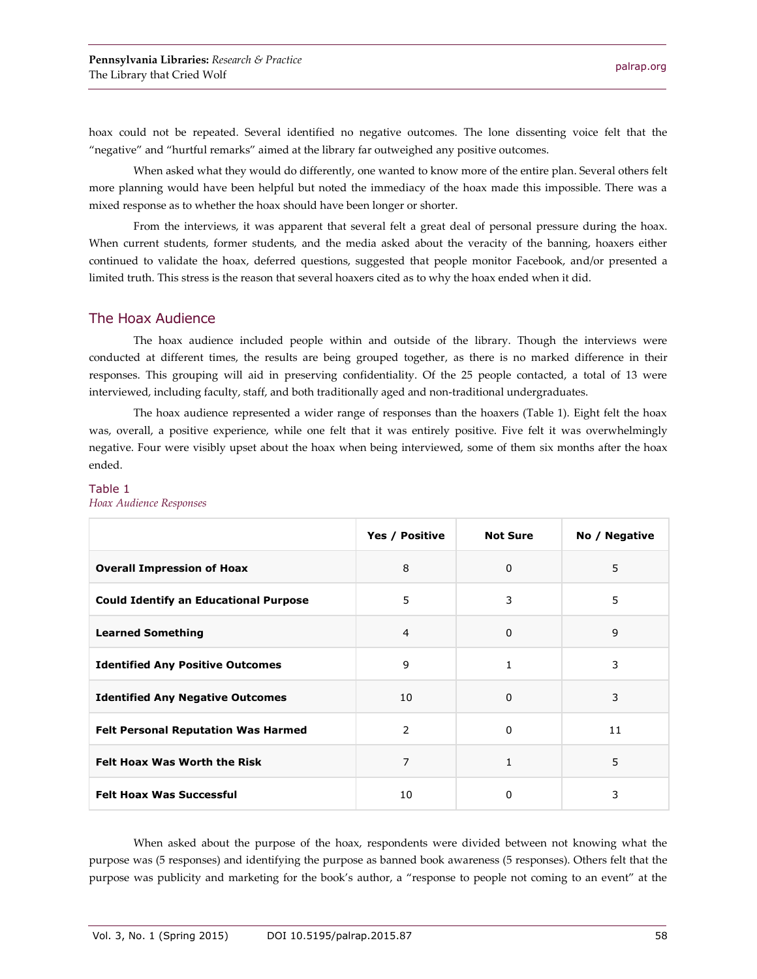hoax could not be repeated. Several identified no negative outcomes. The lone dissenting voice felt that the "negative" and "hurtful remarks" aimed at the library far outweighed any positive outcomes.

When asked what they would do differently, one wanted to know more of the entire plan. Several others felt more planning would have been helpful but noted the immediacy of the hoax made this impossible. There was a mixed response as to whether the hoax should have been longer or shorter.

From the interviews, it was apparent that several felt a great deal of personal pressure during the hoax. When current students, former students, and the media asked about the veracity of the banning, hoaxers either continued to validate the hoax, deferred questions, suggested that people monitor Facebook, and/or presented a limited truth. This stress is the reason that several hoaxers cited as to why the hoax ended when it did.

#### The Hoax Audience

The hoax audience included people within and outside of the library. Though the interviews were conducted at different times, the results are being grouped together, as there is no marked difference in their responses. This grouping will aid in preserving confidentiality. Of the 25 people contacted, a total of 13 were interviewed, including faculty, staff, and both traditionally aged and non-traditional undergraduates.

The hoax audience represented a wider range of responses than the hoaxers (Table 1). Eight felt the hoax was, overall, a positive experience, while one felt that it was entirely positive. Five felt it was overwhelmingly negative. Four were visibly upset about the hoax when being interviewed, some of them six months after the hoax ended.

| <i><u><b>Example 12</b></u></i>              |                |                 |               |
|----------------------------------------------|----------------|-----------------|---------------|
|                                              | Yes / Positive | <b>Not Sure</b> | No / Negative |
| <b>Overall Impression of Hoax</b>            | 8              | $\Omega$        | 5             |
| <b>Could Identify an Educational Purpose</b> | 5              | 3               | 5             |
| <b>Learned Something</b>                     | $\overline{4}$ | $\mathbf 0$     | 9             |
| <b>Identified Any Positive Outcomes</b>      | 9              | $\mathbf{1}$    | 3             |
| <b>Identified Any Negative Outcomes</b>      | 10             | $\Omega$        | 3             |
| <b>Felt Personal Reputation Was Harmed</b>   | 2              | $\Omega$        | 11            |
| <b>Felt Hoax Was Worth the Risk</b>          | 7              | 1               | 5             |
| <b>Felt Hoax Was Successful</b>              | 10             | $\Omega$        | 3             |
|                                              |                |                 |               |

#### Table 1 *Hoax Audience Responses*

When asked about the purpose of the hoax, respondents were divided between not knowing what the purpose was (5 responses) and identifying the purpose as banned book awareness (5 responses). Others felt that the purpose was publicity and marketing for the book's author, a "response to people not coming to an event" at the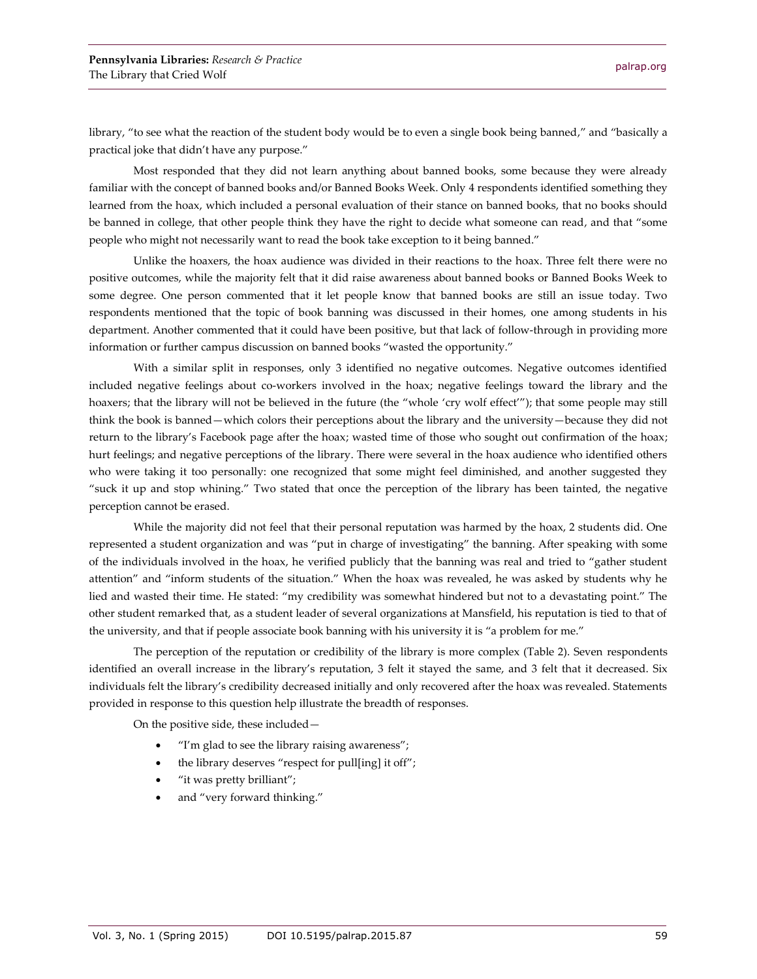library, "to see what the reaction of the student body would be to even a single book being banned," and "basically a practical joke that didn't have any purpose."

Most responded that they did not learn anything about banned books, some because they were already familiar with the concept of banned books and/or Banned Books Week. Only 4 respondents identified something they learned from the hoax, which included a personal evaluation of their stance on banned books, that no books should be banned in college, that other people think they have the right to decide what someone can read, and that "some people who might not necessarily want to read the book take exception to it being banned."

Unlike the hoaxers, the hoax audience was divided in their reactions to the hoax. Three felt there were no positive outcomes, while the majority felt that it did raise awareness about banned books or Banned Books Week to some degree. One person commented that it let people know that banned books are still an issue today. Two respondents mentioned that the topic of book banning was discussed in their homes, one among students in his department. Another commented that it could have been positive, but that lack of follow-through in providing more information or further campus discussion on banned books "wasted the opportunity."

With a similar split in responses, only 3 identified no negative outcomes. Negative outcomes identified included negative feelings about co-workers involved in the hoax; negative feelings toward the library and the hoaxers; that the library will not be believed in the future (the "whole 'cry wolf effect'"); that some people may still think the book is banned—which colors their perceptions about the library and the university—because they did not return to the library's Facebook page after the hoax; wasted time of those who sought out confirmation of the hoax; hurt feelings; and negative perceptions of the library. There were several in the hoax audience who identified others who were taking it too personally: one recognized that some might feel diminished, and another suggested they "suck it up and stop whining." Two stated that once the perception of the library has been tainted, the negative perception cannot be erased.

While the majority did not feel that their personal reputation was harmed by the hoax, 2 students did. One represented a student organization and was "put in charge of investigating" the banning. After speaking with some of the individuals involved in the hoax, he verified publicly that the banning was real and tried to "gather student attention" and "inform students of the situation." When the hoax was revealed, he was asked by students why he lied and wasted their time. He stated: "my credibility was somewhat hindered but not to a devastating point." The other student remarked that, as a student leader of several organizations at Mansfield, his reputation is tied to that of the university, and that if people associate book banning with his university it is "a problem for me."

The perception of the reputation or credibility of the library is more complex (Table 2). Seven respondents identified an overall increase in the library's reputation, 3 felt it stayed the same, and 3 felt that it decreased. Six individuals felt the library's credibility decreased initially and only recovered after the hoax was revealed. Statements provided in response to this question help illustrate the breadth of responses.

On the positive side, these included—

- "I'm glad to see the library raising awareness";
- the library deserves "respect for pull[ing] it off";
- "it was pretty brilliant";
- and "very forward thinking."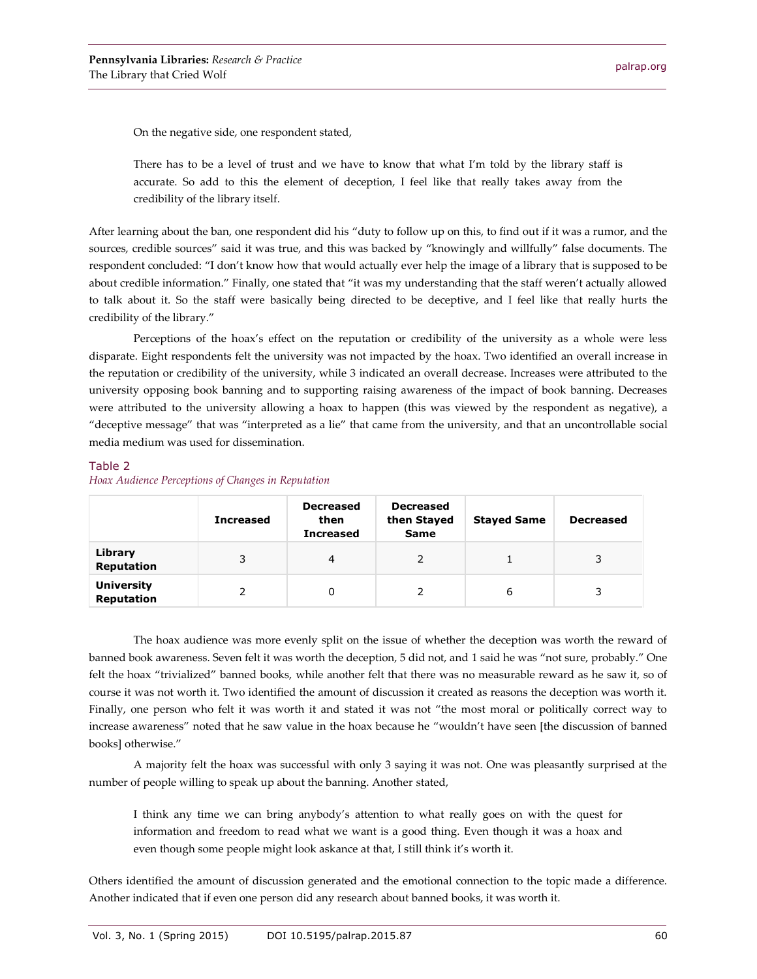On the negative side, one respondent stated,

There has to be a level of trust and we have to know that what I'm told by the library staff is accurate. So add to this the element of deception, I feel like that really takes away from the credibility of the library itself.

After learning about the ban, one respondent did his "duty to follow up on this, to find out if it was a rumor, and the sources, credible sources" said it was true, and this was backed by "knowingly and willfully" false documents. The respondent concluded: "I don't know how that would actually ever help the image of a library that is supposed to be about credible information." Finally, one stated that "it was my understanding that the staff weren't actually allowed to talk about it. So the staff were basically being directed to be deceptive, and I feel like that really hurts the credibility of the library."

Perceptions of the hoax's effect on the reputation or credibility of the university as a whole were less disparate. Eight respondents felt the university was not impacted by the hoax. Two identified an overall increase in the reputation or credibility of the university, while 3 indicated an overall decrease. Increases were attributed to the university opposing book banning and to supporting raising awareness of the impact of book banning. Decreases were attributed to the university allowing a hoax to happen (this was viewed by the respondent as negative), a "deceptive message" that was "interpreted as a lie" that came from the university, and that an uncontrollable social media medium was used for dissemination.

#### Table 2 *Hoax Audience Perceptions of Changes in Reputation*

|                                        | <b>Increased</b> | <b>Decreased</b><br>then<br><b>Increased</b> | <b>Decreased</b><br>then Stayed<br><b>Same</b> | <b>Stayed Same</b> | <b>Decreased</b> |
|----------------------------------------|------------------|----------------------------------------------|------------------------------------------------|--------------------|------------------|
| Library<br><b>Reputation</b>           | 3                | 4                                            |                                                |                    | 3                |
| <b>University</b><br><b>Reputation</b> |                  | 0                                            |                                                | 6                  |                  |

The hoax audience was more evenly split on the issue of whether the deception was worth the reward of banned book awareness. Seven felt it was worth the deception, 5 did not, and 1 said he was "not sure, probably." One felt the hoax "trivialized" banned books, while another felt that there was no measurable reward as he saw it, so of course it was not worth it. Two identified the amount of discussion it created as reasons the deception was worth it. Finally, one person who felt it was worth it and stated it was not "the most moral or politically correct way to increase awareness" noted that he saw value in the hoax because he "wouldn't have seen [the discussion of banned books] otherwise."

A majority felt the hoax was successful with only 3 saying it was not. One was pleasantly surprised at the number of people willing to speak up about the banning. Another stated,

I think any time we can bring anybody's attention to what really goes on with the quest for information and freedom to read what we want is a good thing. Even though it was a hoax and even though some people might look askance at that, I still think it's worth it.

Others identified the amount of discussion generated and the emotional connection to the topic made a difference. Another indicated that if even one person did any research about banned books, it was worth it.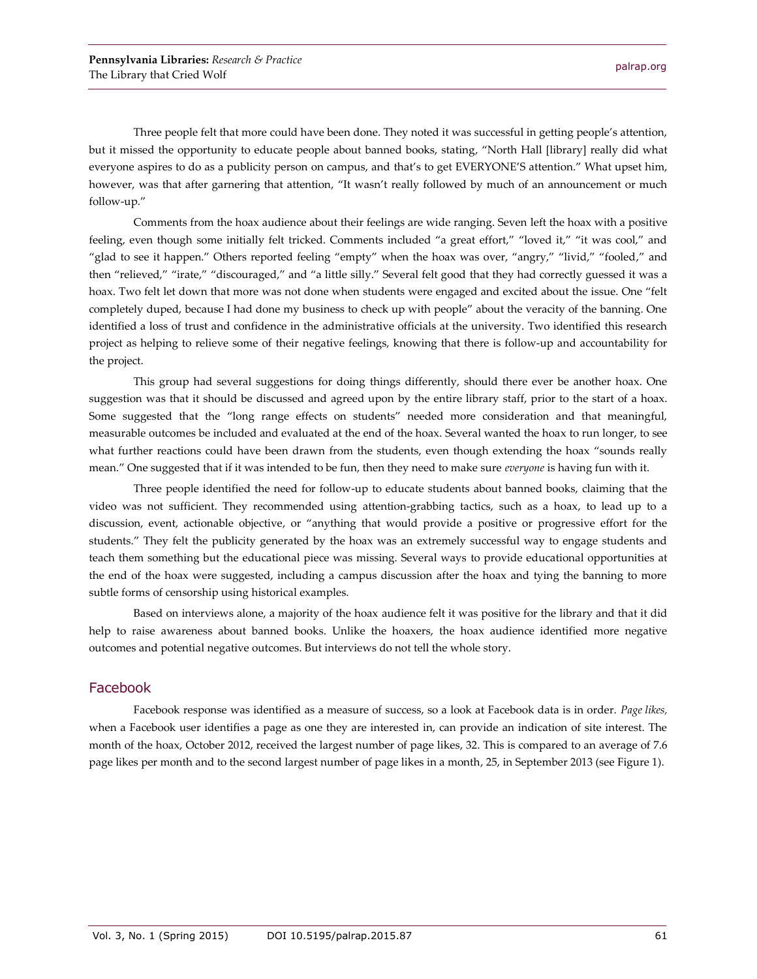Three people felt that more could have been done. They noted it was successful in getting people's attention, but it missed the opportunity to educate people about banned books, stating, "North Hall [library] really did what everyone aspires to do as a publicity person on campus, and that's to get EVERYONE'S attention." What upset him, however, was that after garnering that attention, "It wasn't really followed by much of an announcement or much follow-up."

Comments from the hoax audience about their feelings are wide ranging. Seven left the hoax with a positive feeling, even though some initially felt tricked. Comments included "a great effort," "loved it," "it was cool," and "glad to see it happen." Others reported feeling "empty" when the hoax was over, "angry," "livid," "fooled," and then "relieved," "irate," "discouraged," and "a little silly." Several felt good that they had correctly guessed it was a hoax. Two felt let down that more was not done when students were engaged and excited about the issue. One "felt completely duped, because I had done my business to check up with people" about the veracity of the banning. One identified a loss of trust and confidence in the administrative officials at the university. Two identified this research project as helping to relieve some of their negative feelings, knowing that there is follow-up and accountability for the project.

This group had several suggestions for doing things differently, should there ever be another hoax. One suggestion was that it should be discussed and agreed upon by the entire library staff, prior to the start of a hoax. Some suggested that the "long range effects on students" needed more consideration and that meaningful, measurable outcomes be included and evaluated at the end of the hoax. Several wanted the hoax to run longer, to see what further reactions could have been drawn from the students, even though extending the hoax "sounds really mean." One suggested that if it was intended to be fun, then they need to make sure *everyone* is having fun with it.

Three people identified the need for follow-up to educate students about banned books, claiming that the video was not sufficient. They recommended using attention-grabbing tactics, such as a hoax, to lead up to a discussion, event, actionable objective, or "anything that would provide a positive or progressive effort for the students." They felt the publicity generated by the hoax was an extremely successful way to engage students and teach them something but the educational piece was missing. Several ways to provide educational opportunities at the end of the hoax were suggested, including a campus discussion after the hoax and tying the banning to more subtle forms of censorship using historical examples.

Based on interviews alone, a majority of the hoax audience felt it was positive for the library and that it did help to raise awareness about banned books. Unlike the hoaxers, the hoax audience identified more negative outcomes and potential negative outcomes. But interviews do not tell the whole story.

#### Facebook

Facebook response was identified as a measure of success, so a look at Facebook data is in order. *Page likes,* when a Facebook user identifies a page as one they are interested in, can provide an indication of site interest. The month of the hoax, October 2012, received the largest number of page likes, 32. This is compared to an average of 7.6 page likes per month and to the second largest number of page likes in a month, 25, in September 2013 (see Figure 1).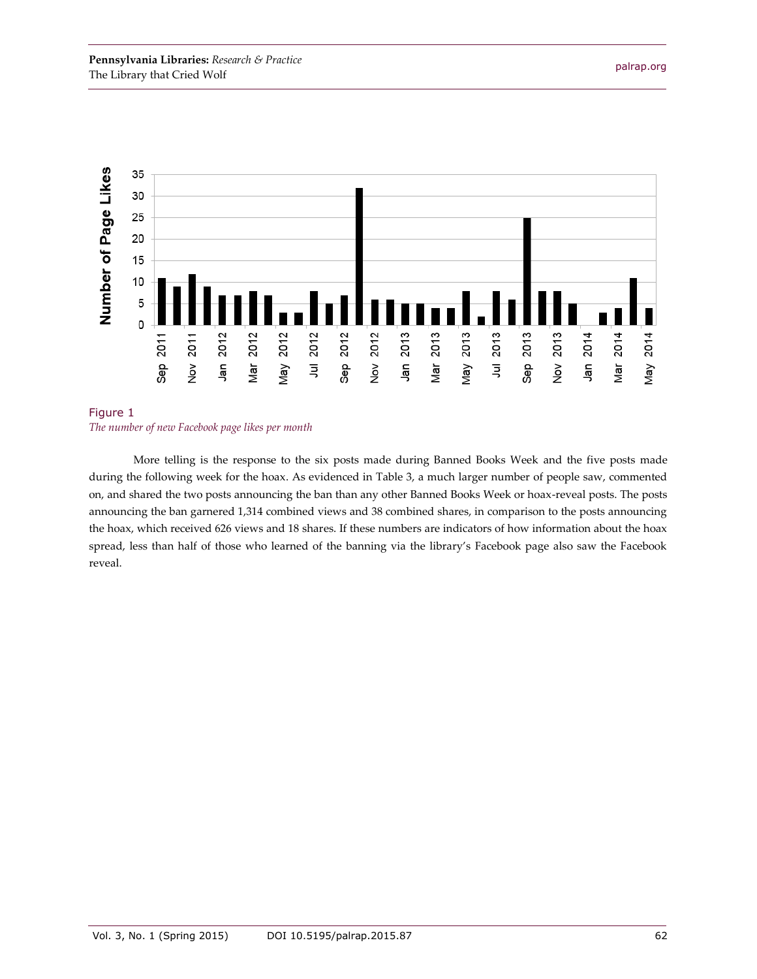

#### Figure 1 *The number of new Facebook page likes per month*

More telling is the response to the six posts made during Banned Books Week and the five posts made during the following week for the hoax. As evidenced in Table 3, a much larger number of people saw, commented on, and shared the two posts announcing the ban than any other Banned Books Week or hoax-reveal posts. The posts announcing the ban garnered 1,314 combined views and 38 combined shares, in comparison to the posts announcing the hoax, which received 626 views and 18 shares. If these numbers are indicators of how information about the hoax spread, less than half of those who learned of the banning via the library's Facebook page also saw the Facebook reveal.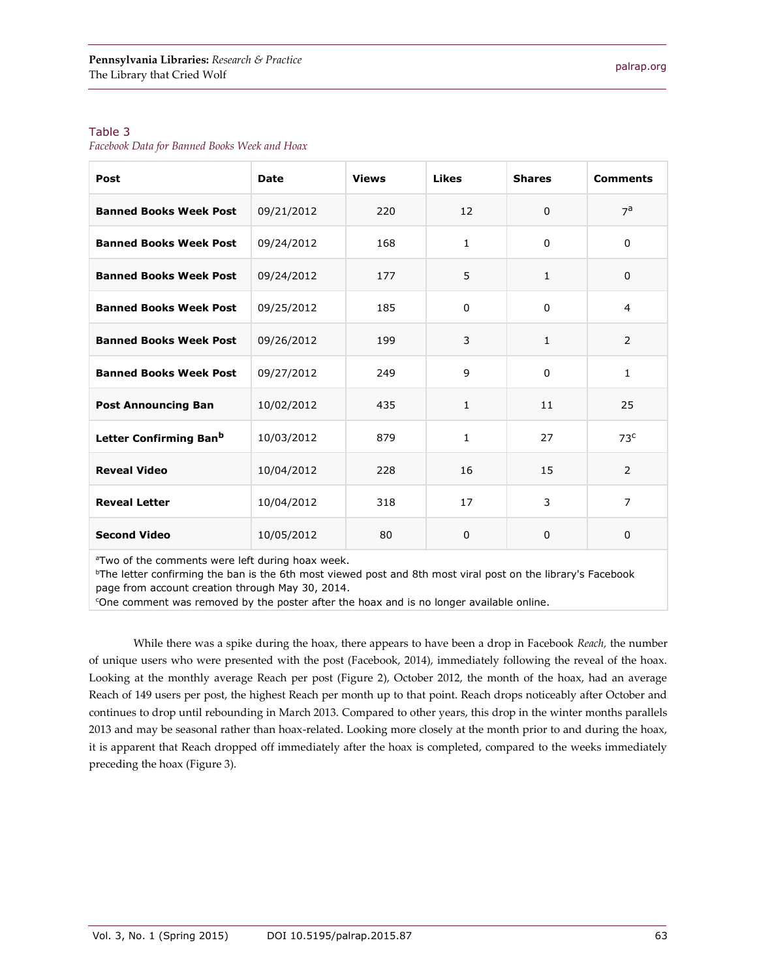#### Table 3

*Facebook Data for Banned Books Week and Hoax*

| Post                               | Date       | <b>Views</b> | <b>Likes</b>      | <b>Shares</b> | <b>Comments</b> |
|------------------------------------|------------|--------------|-------------------|---------------|-----------------|
| <b>Banned Books Week Post</b>      | 09/21/2012 | 220          | $12 \overline{ }$ | $\Omega$      | $7^a$           |
| <b>Banned Books Week Post</b>      | 09/24/2012 | 168          | $\mathbf{1}$      | $\Omega$      | $\Omega$        |
| <b>Banned Books Week Post</b>      | 09/24/2012 | 177          | 5                 | 1             | $\Omega$        |
| <b>Banned Books Week Post</b>      | 09/25/2012 | 185          | $\Omega$          | 0             | 4               |
| <b>Banned Books Week Post</b>      | 09/26/2012 | 199          | 3                 | $\mathbf{1}$  | 2               |
| <b>Banned Books Week Post</b>      | 09/27/2012 | 249          | 9                 | 0             | $\mathbf{1}$    |
| <b>Post Announcing Ban</b>         | 10/02/2012 | 435          | $\mathbf{1}$      | 11            | 25              |
| Letter Confirming Ban <sup>b</sup> | 10/03/2012 | 879          | $\mathbf{1}$      | 27            | 73 <sup>c</sup> |
| <b>Reveal Video</b>                | 10/04/2012 | 228          | 16                | 15            | 2               |
| <b>Reveal Letter</b>               | 10/04/2012 | 318          | 17                | 3             | $\overline{7}$  |
| <b>Second Video</b>                | 10/05/2012 | 80           | $\Omega$          | 0             | $\Omega$        |

<sup>a</sup>Two of the comments were left during hoax week.

<sup>b</sup>The letter confirming the ban is the 6th most viewed post and 8th most viral post on the library's Facebook page from account creation through May 30, 2014.

<sup>c</sup>One comment was removed by the poster after the hoax and is no longer available online.

While there was a spike during the hoax, there appears to have been a drop in Facebook *Reach,* the number of unique users who were presented with the post (Facebook, 2014), immediately following the reveal of the hoax. Looking at the monthly average Reach per post (Figure 2), October 2012, the month of the hoax, had an average Reach of 149 users per post, the highest Reach per month up to that point. Reach drops noticeably after October and continues to drop until rebounding in March 2013. Compared to other years, this drop in the winter months parallels 2013 and may be seasonal rather than hoax-related. Looking more closely at the month prior to and during the hoax, it is apparent that Reach dropped off immediately after the hoax is completed, compared to the weeks immediately preceding the hoax (Figure 3).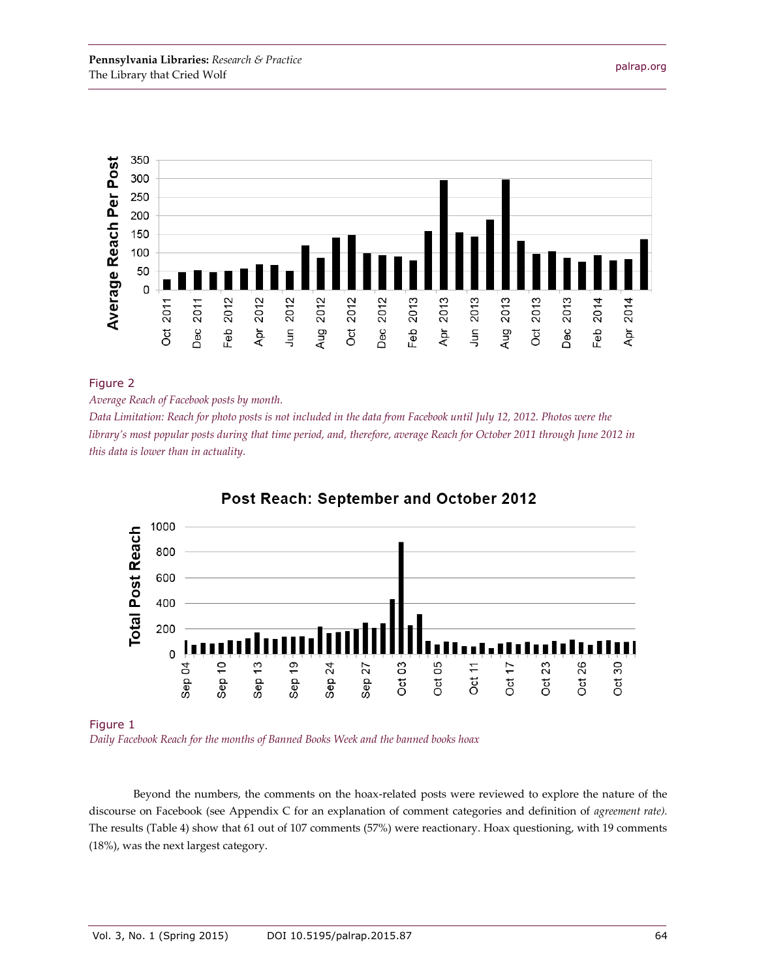

#### Figure 2

*Average Reach of Facebook posts by month.*

*Data Limitation: Reach for photo posts is not included in the data from Facebook until July 12, 2012. Photos were the library's most popular posts during that time period, and, therefore, average Reach for October 2011 through June 2012 in this data is lower than in actuality.*



#### Post Reach: September and October 2012

Figure 1

*Daily Facebook Reach for the months of Banned Books Week and the banned books hoax*

Beyond the numbers, the comments on the hoax-related posts were reviewed to explore the nature of the discourse on Facebook (see Appendix C for an explanation of comment categories and definition of *agreement rate).* The results (Table 4) show that 61 out of 107 comments (57%) were reactionary. Hoax questioning, with 19 comments (18%), was the next largest category.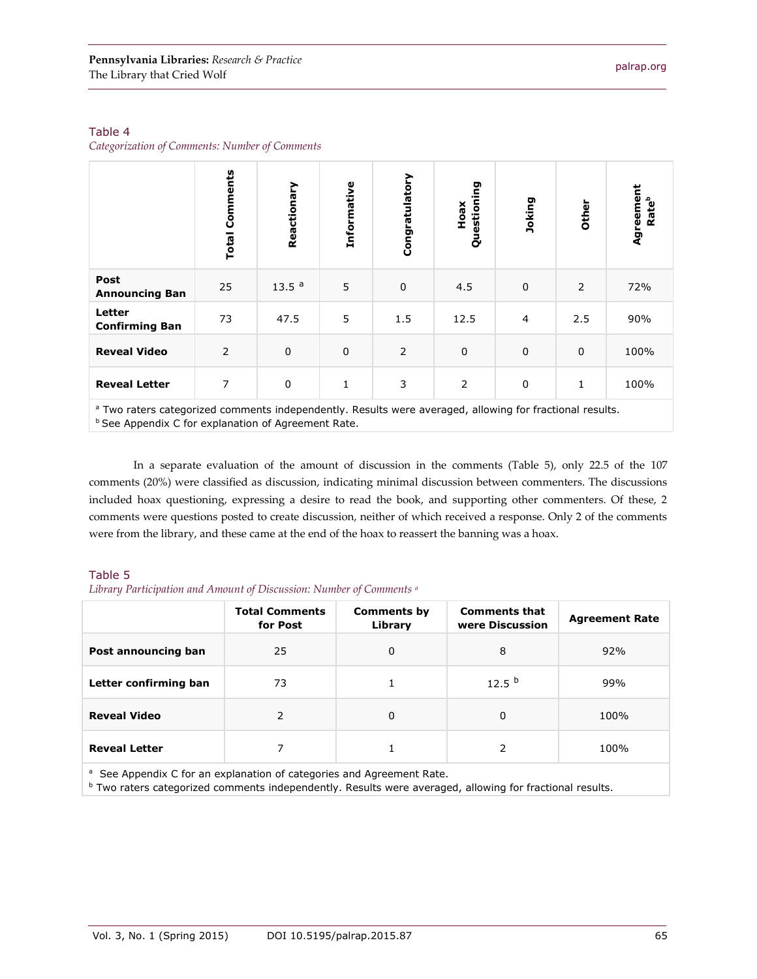*Categorization of Comments: Number of Comments*

|                                 | <b>Total Comments</b> | Reactionary       | Informative | Congratulatory | Questioning<br>Hoax | Joking      | Other       | Agreement<br>Rateb |
|---------------------------------|-----------------------|-------------------|-------------|----------------|---------------------|-------------|-------------|--------------------|
| Post<br><b>Announcing Ban</b>   | 25                    | 13.5 <sup>a</sup> | 5           | $\pmb{0}$      | 4.5                 | $\mathbf 0$ | 2           | 72%                |
| Letter<br><b>Confirming Ban</b> | 73                    | 47.5              | 5           | 1.5            | 12.5                | 4           | 2.5         | 90%                |
| <b>Reveal Video</b>             | $\overline{2}$        | $\pmb{0}$         | $\mathbf 0$ | 2              | $\pmb{0}$           | $\mathbf 0$ | $\mathbf 0$ | 100%               |
| <b>Reveal Letter</b>            | 7                     | $\pmb{0}$         | 1           | 3              | 2                   | 0           | 1           | 100%               |

<sup>a</sup> Two raters categorized comments independently. Results were averaged, allowing for fractional results. **b See Appendix C for explanation of Agreement Rate.** 

In a separate evaluation of the amount of discussion in the comments (Table 5), only 22.5 of the 107 comments (20%) were classified as discussion, indicating minimal discussion between commenters. The discussions included hoax questioning, expressing a desire to read the book, and supporting other commenters. Of these, 2 comments were questions posted to create discussion, neither of which received a response. Only 2 of the comments were from the library, and these came at the end of the hoax to reassert the banning was a hoax.

#### Table 5

*Library Participation and Amount of Discussion: Number of Comments <sup>a</sup>*

|                                                                                  | <b>Total Comments</b><br>for Post | <b>Comments by</b><br>Library | <b>Comments that</b><br>were Discussion | <b>Agreement Rate</b> |  |  |  |
|----------------------------------------------------------------------------------|-----------------------------------|-------------------------------|-----------------------------------------|-----------------------|--|--|--|
| Post announcing ban                                                              | 25                                | 0                             | 8                                       | 92%                   |  |  |  |
| Letter confirming ban                                                            | 73                                |                               | 12.5 <sup>b</sup>                       | 99%                   |  |  |  |
| <b>Reveal Video</b>                                                              | 2                                 | 0                             | $\Omega$                                | 100%                  |  |  |  |
| <b>Reveal Letter</b>                                                             | 7                                 |                               | 2                                       | 100%                  |  |  |  |
| <sup>a</sup> See Appendix C for an explanation of categories and Agreement Rate. |                                   |                               |                                         |                       |  |  |  |

**b Two raters categorized comments independently. Results were averaged, allowing for fractional results.**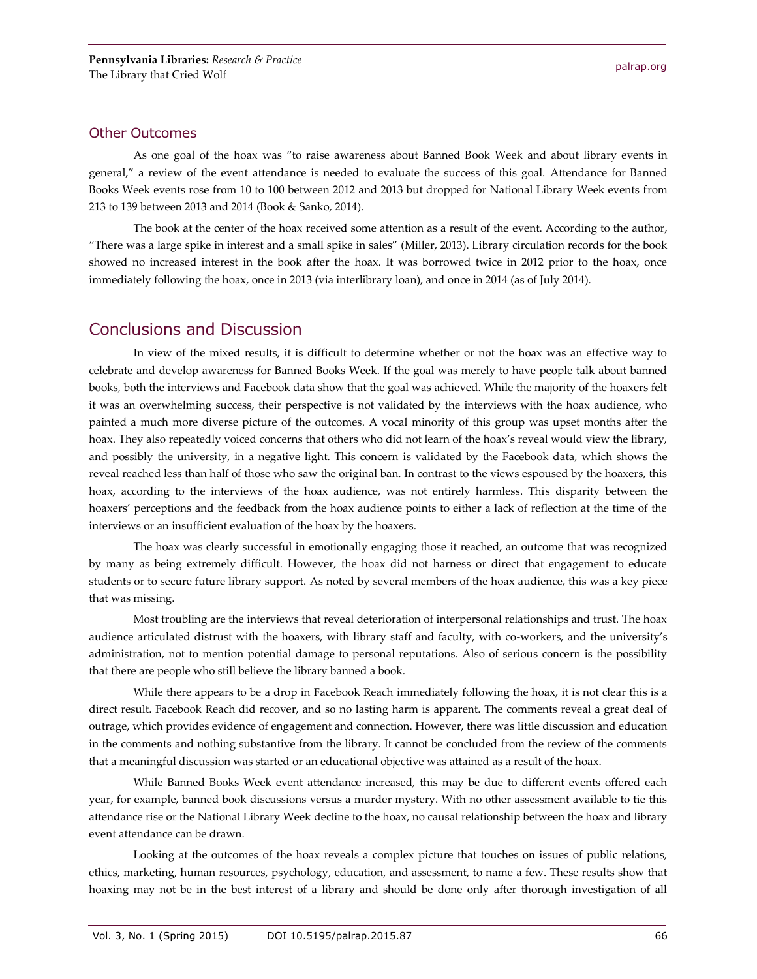#### Other Outcomes

As one goal of the hoax was "to raise awareness about Banned Book Week and about library events in general," a review of the event attendance is needed to evaluate the success of this goal. Attendance for Banned Books Week events rose from 10 to 100 between 2012 and 2013 but dropped for National Library Week events from 213 to 139 between 2013 and 2014 (Book & Sanko, 2014).

The book at the center of the hoax received some attention as a result of the event. According to the author, "There was a large spike in interest and a small spike in sales" (Miller, 2013). Library circulation records for the book showed no increased interest in the book after the hoax. It was borrowed twice in 2012 prior to the hoax, once immediately following the hoax, once in 2013 (via interlibrary loan), and once in 2014 (as of July 2014).

## Conclusions and Discussion

In view of the mixed results, it is difficult to determine whether or not the hoax was an effective way to celebrate and develop awareness for Banned Books Week. If the goal was merely to have people talk about banned books, both the interviews and Facebook data show that the goal was achieved. While the majority of the hoaxers felt it was an overwhelming success, their perspective is not validated by the interviews with the hoax audience, who painted a much more diverse picture of the outcomes. A vocal minority of this group was upset months after the hoax. They also repeatedly voiced concerns that others who did not learn of the hoax's reveal would view the library, and possibly the university, in a negative light. This concern is validated by the Facebook data, which shows the reveal reached less than half of those who saw the original ban. In contrast to the views espoused by the hoaxers, this hoax, according to the interviews of the hoax audience, was not entirely harmless. This disparity between the hoaxers' perceptions and the feedback from the hoax audience points to either a lack of reflection at the time of the interviews or an insufficient evaluation of the hoax by the hoaxers.

The hoax was clearly successful in emotionally engaging those it reached, an outcome that was recognized by many as being extremely difficult. However, the hoax did not harness or direct that engagement to educate students or to secure future library support. As noted by several members of the hoax audience, this was a key piece that was missing.

Most troubling are the interviews that reveal deterioration of interpersonal relationships and trust. The hoax audience articulated distrust with the hoaxers, with library staff and faculty, with co-workers, and the university's administration, not to mention potential damage to personal reputations. Also of serious concern is the possibility that there are people who still believe the library banned a book.

While there appears to be a drop in Facebook Reach immediately following the hoax, it is not clear this is a direct result. Facebook Reach did recover, and so no lasting harm is apparent. The comments reveal a great deal of outrage, which provides evidence of engagement and connection. However, there was little discussion and education in the comments and nothing substantive from the library. It cannot be concluded from the review of the comments that a meaningful discussion was started or an educational objective was attained as a result of the hoax.

While Banned Books Week event attendance increased, this may be due to different events offered each year, for example, banned book discussions versus a murder mystery. With no other assessment available to tie this attendance rise or the National Library Week decline to the hoax, no causal relationship between the hoax and library event attendance can be drawn.

Looking at the outcomes of the hoax reveals a complex picture that touches on issues of public relations, ethics, marketing, human resources, psychology, education, and assessment, to name a few. These results show that hoaxing may not be in the best interest of a library and should be done only after thorough investigation of all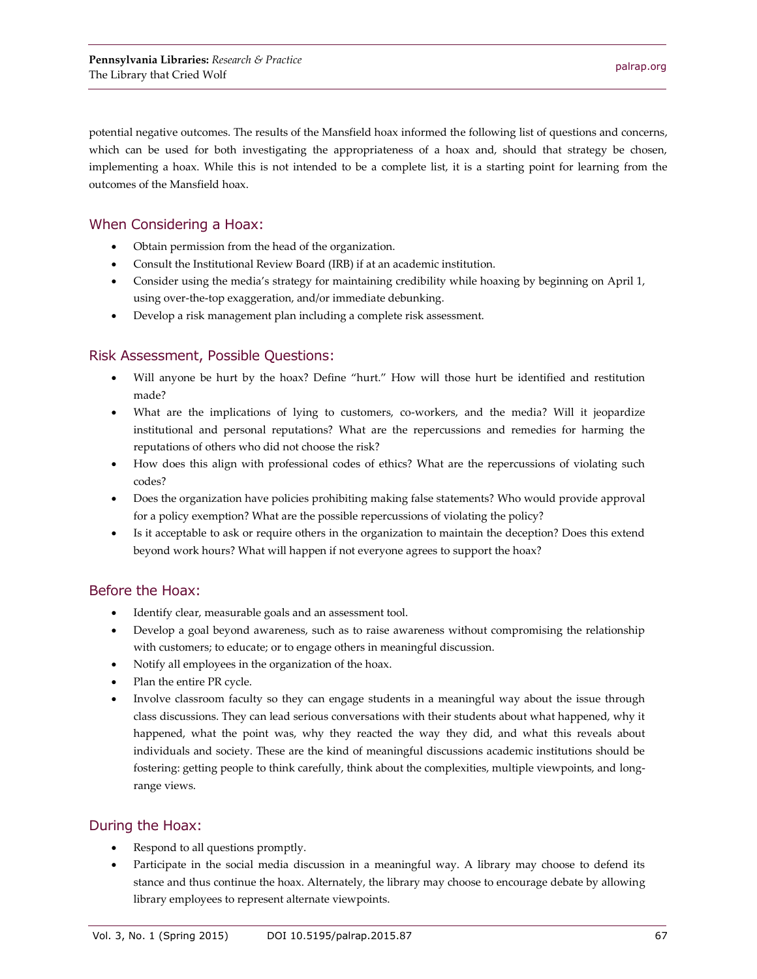potential negative outcomes. The results of the Mansfield hoax informed the following list of questions and concerns, which can be used for both investigating the appropriateness of a hoax and, should that strategy be chosen, implementing a hoax. While this is not intended to be a complete list, it is a starting point for learning from the outcomes of the Mansfield hoax.

#### When Considering a Hoax:

- Obtain permission from the head of the organization.
- Consult the Institutional Review Board (IRB) if at an academic institution.
- Consider using the media's strategy for maintaining credibility while hoaxing by beginning on April 1, using over-the-top exaggeration, and/or immediate debunking.
- Develop a risk management plan including a complete risk assessment.

#### Risk Assessment, Possible Questions:

- Will anyone be hurt by the hoax? Define "hurt." How will those hurt be identified and restitution made?
- What are the implications of lying to customers, co-workers, and the media? Will it jeopardize institutional and personal reputations? What are the repercussions and remedies for harming the reputations of others who did not choose the risk?
- How does this align with professional codes of ethics? What are the repercussions of violating such codes?
- Does the organization have policies prohibiting making false statements? Who would provide approval for a policy exemption? What are the possible repercussions of violating the policy?
- Is it acceptable to ask or require others in the organization to maintain the deception? Does this extend beyond work hours? What will happen if not everyone agrees to support the hoax?

#### Before the Hoax:

- Identify clear, measurable goals and an assessment tool.
- Develop a goal beyond awareness, such as to raise awareness without compromising the relationship with customers; to educate; or to engage others in meaningful discussion.
- Notify all employees in the organization of the hoax.
- Plan the entire PR cycle.
- Involve classroom faculty so they can engage students in a meaningful way about the issue through class discussions. They can lead serious conversations with their students about what happened, why it happened, what the point was, why they reacted the way they did, and what this reveals about individuals and society. These are the kind of meaningful discussions academic institutions should be fostering: getting people to think carefully, think about the complexities, multiple viewpoints, and longrange views.

#### During the Hoax:

- Respond to all questions promptly.
- Participate in the social media discussion in a meaningful way. A library may choose to defend its stance and thus continue the hoax. Alternately, the library may choose to encourage debate by allowing library employees to represent alternate viewpoints.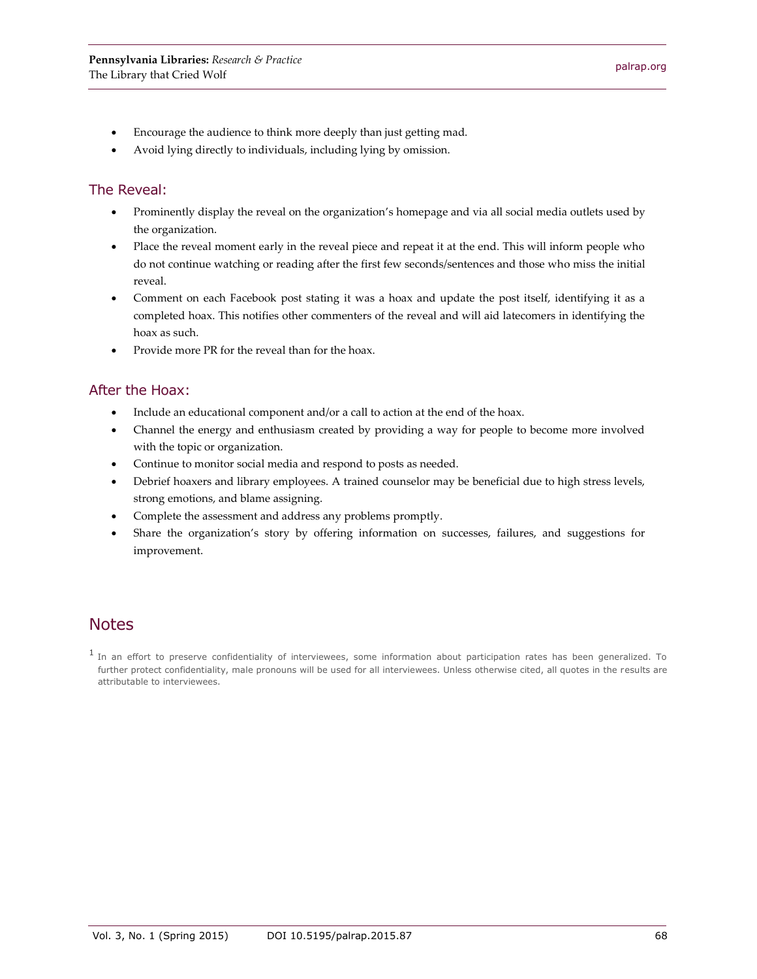- Encourage the audience to think more deeply than just getting mad.
- Avoid lying directly to individuals, including lying by omission.

#### The Reveal:

- Prominently display the reveal on the organization's homepage and via all social media outlets used by the organization.
- Place the reveal moment early in the reveal piece and repeat it at the end. This will inform people who do not continue watching or reading after the first few seconds/sentences and those who miss the initial reveal.
- Comment on each Facebook post stating it was a hoax and update the post itself, identifying it as a completed hoax. This notifies other commenters of the reveal and will aid latecomers in identifying the hoax as such.
- Provide more PR for the reveal than for the hoax.

#### After the Hoax:

- Include an educational component and/or a call to action at the end of the hoax.
- Channel the energy and enthusiasm created by providing a way for people to become more involved with the topic or organization.
- Continue to monitor social media and respond to posts as needed.
- Debrief hoaxers and library employees. A trained counselor may be beneficial due to high stress levels, strong emotions, and blame assigning.
- Complete the assessment and address any problems promptly.
- Share the organization's story by offering information on successes, failures, and suggestions for improvement.

## **Notes**

<sup>1</sup> In an effort to preserve confidentiality of interviewees, some information about participation rates has been generalized. To further protect confidentiality, male pronouns will be used for all interviewees. Unless otherwise cited, all quotes in the results are attributable to interviewees.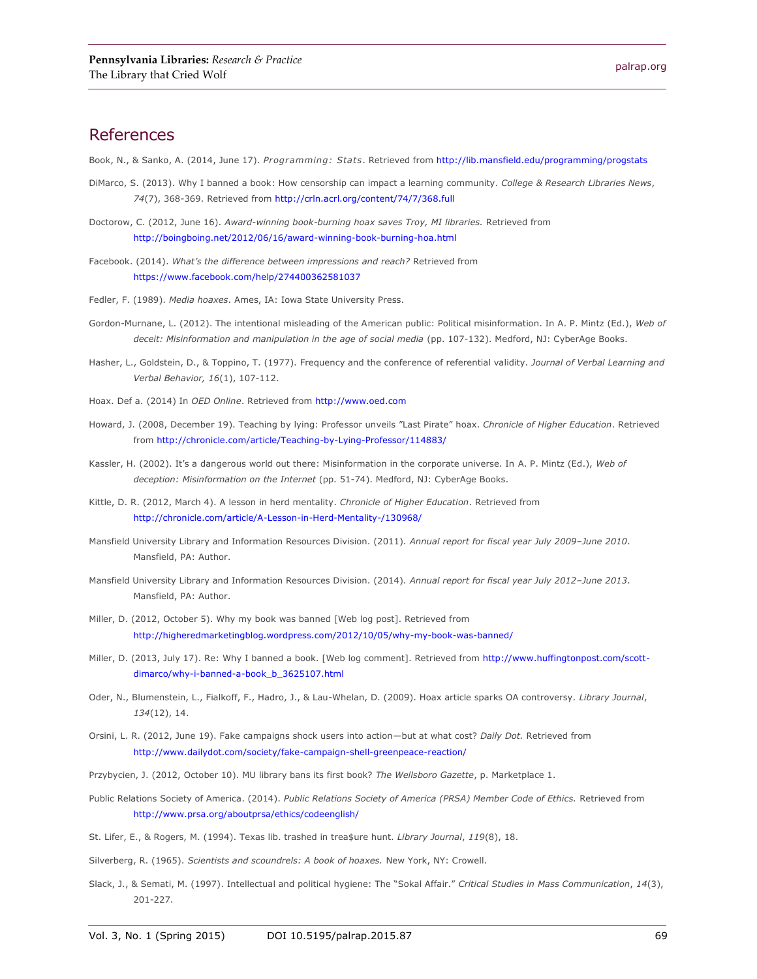#### References

Book, N., & Sanko, A. (2014, June 17). *Programming: Stats*. Retrieved from<http://lib.mansfield.edu/programming/progstats>

- DiMarco, S. (2013). Why I banned a book: How censorship can impact a learning community. *College & Research Libraries News*, *74*(7), 368-369. Retrieved from<http://crln.acrl.org/content/74/7/368.full>
- Doctorow, C. (2012, June 16). *Award-winning book-burning hoax saves Troy, MI libraries.* Retrieved from <http://boingboing.net/2012/06/16/award-winning-book-burning-hoa.html>
- Facebook. (2014). *What's the difference between impressions and reach?* Retrieved from <https://www.facebook.com/help/274400362581037>
- Fedler, F. (1989). *Media hoaxes*. Ames, IA: Iowa State University Press.
- Gordon-Murnane, L. (2012). The intentional misleading of the American public: Political misinformation. In A. P. Mintz (Ed.), *Web of deceit: Misinformation and manipulation in the age of social media* (pp. 107-132). Medford, NJ: CyberAge Books.
- Hasher, L., Goldstein, D., & Toppino, T. (1977). Frequency and the conference of referential validity. *Journal of Verbal Learning and Verbal Behavior, 16*(1), 107-112.
- Hoax. Def a. (2014) In *OED Online*. Retrieved from [http://www.oed.com](http://www.oed.com/)
- Howard, J. (2008, December 19). Teaching by lying: Professor unveils "Last Pirate" hoax. *Chronicle of Higher Education*. Retrieved from<http://chronicle.com/article/Teaching-by-Lying-Professor/114883/>
- Kassler, H. (2002). It's a dangerous world out there: Misinformation in the corporate universe. In A. P. Mintz (Ed.), *Web of deception: Misinformation on the Internet* (pp. 51-74). Medford, NJ: CyberAge Books.
- Kittle, D. R. (2012, March 4). A lesson in herd mentality. *Chronicle of Higher Education*. Retrieved from <http://chronicle.com/article/A-Lesson-in-Herd-Mentality-/130968/>
- Mansfield University Library and Information Resources Division. (2011). *Annual report for fiscal year July 2009–June 2010*. Mansfield, PA: Author.
- Mansfield University Library and Information Resources Division. (2014). *Annual report for fiscal year July 2012–June 2013*. Mansfield, PA: Author.
- Miller, D. (2012, October 5). Why my book was banned [Web log post]. Retrieved from <http://higheredmarketingblog.wordpress.com/2012/10/05/why-my-book-was-banned/>
- Miller, D. (2013, July 17). Re: Why I banned a book. [Web log comment]. Retrieved fro[m http://www.huffingtonpost.com/scott](http://www.huffingtonpost.com/scott-dimarco/why-i-banned-a-book_b_3625107.html)[dimarco/why-i-banned-a-book\\_b\\_3625107.html](http://www.huffingtonpost.com/scott-dimarco/why-i-banned-a-book_b_3625107.html)
- Oder, N., Blumenstein, L., Fialkoff, F., Hadro, J., & Lau-Whelan, D. (2009). Hoax article sparks OA controversy. *Library Journal*, *134*(12), 14.
- Orsini, L. R. (2012, June 19). Fake campaigns shock users into action—but at what cost? *Daily Dot.* Retrieved from <http://www.dailydot.com/society/fake-campaign-shell-greenpeace-reaction/>
- Przybycien, J. (2012, October 10). MU library bans its first book? *The Wellsboro Gazette*, p. Marketplace 1.
- Public Relations Society of America. (2014). *Public Relations Society of America (PRSA) Member Code of Ethics.* Retrieved from <http://www.prsa.org/aboutprsa/ethics/codeenglish/>
- St. Lifer, E., & Rogers, M. (1994). Texas lib. trashed in trea\$ure hunt. *Library Journal*, *119*(8), 18.
- Silverberg, R. (1965). *Scientists and scoundrels: A book of hoaxes.* New York, NY: Crowell.
- Slack, J., & Semati, M. (1997). Intellectual and political hygiene: The "Sokal Affair." *Critical Studies in Mass Communication*, *14*(3), 201-227.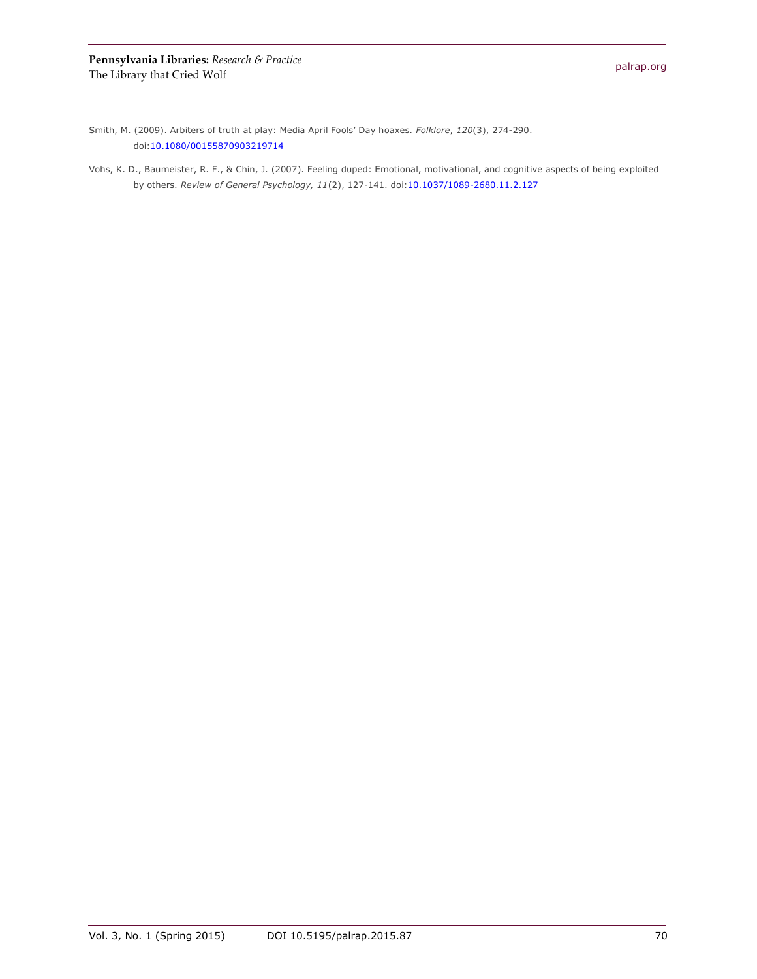Smith, M. (2009). Arbiters of truth at play: Media April Fools' Day hoaxes. *Folklore*, *120*(3), 274-290. doi[:10.1080/00155870903219714](http://dx.doi.org/10.1080/00155870903219714)

Vohs, K. D., Baumeister, R. F., & Chin, J. (2007). Feeling duped: Emotional, motivational, and cognitive aspects of being exploited by others. *Review of General Psychology, 11*(2), 127-141. doi[:10.1037/1089-2680.11.2.127](http://dx.doi.org/10.1037/1089-2680.11.2.127)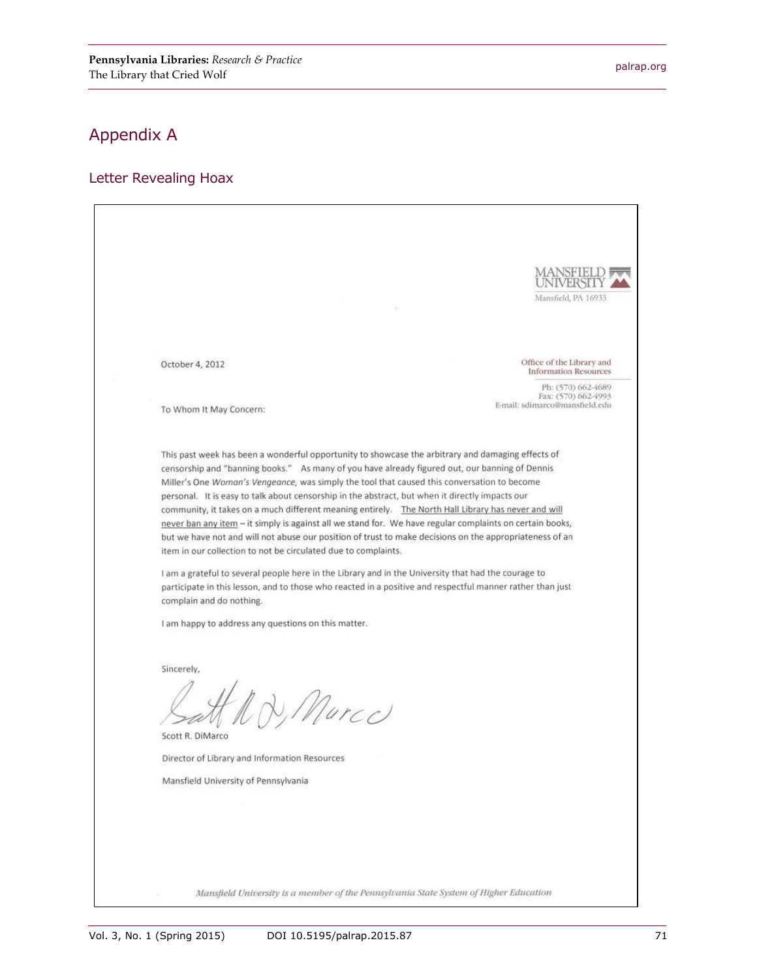Mansfield, PA 16933

Office of the Library and

E-mail: sdimarco@mansfield.edu

**Information Resources** Ph: (570) 662-4689<br>Fax: (570) 662-4993

## Appendix A

#### Letter Revealing Hoax

October 4, 2012

To Whom It May Concern:

This past week has been a wonderful opportunity to showcase the arbitrary and damaging effects of censorship and "banning books." As many of you have already figured out, our banning of Dennis Miller's One Woman's Vengeance, was simply the tool that caused this conversation to become personal. It is easy to talk about censorship in the abstract, but when it directly impacts our community, it takes on a much different meaning entirely. The North Hall Library has never and will never ban any item - it simply is against all we stand for. We have regular complaints on certain books, but we have not and will not abuse our position of trust to make decisions on the appropriateness of an item in our collection to not be circulated due to complaints.

I am a grateful to several people here in the Library and in the University that had the courage to participate in this lesson, and to those who reacted in a positive and respectful manner rather than just complain and do nothing.

I am happy to address any questions on this matter.

Sincerely,

D. Murco

Scott R. DiMarco

Director of Library and Information Resources

Mansfield University of Pennsylvania

Mansfield University is a member of the Pennsylvania State System of Higher Education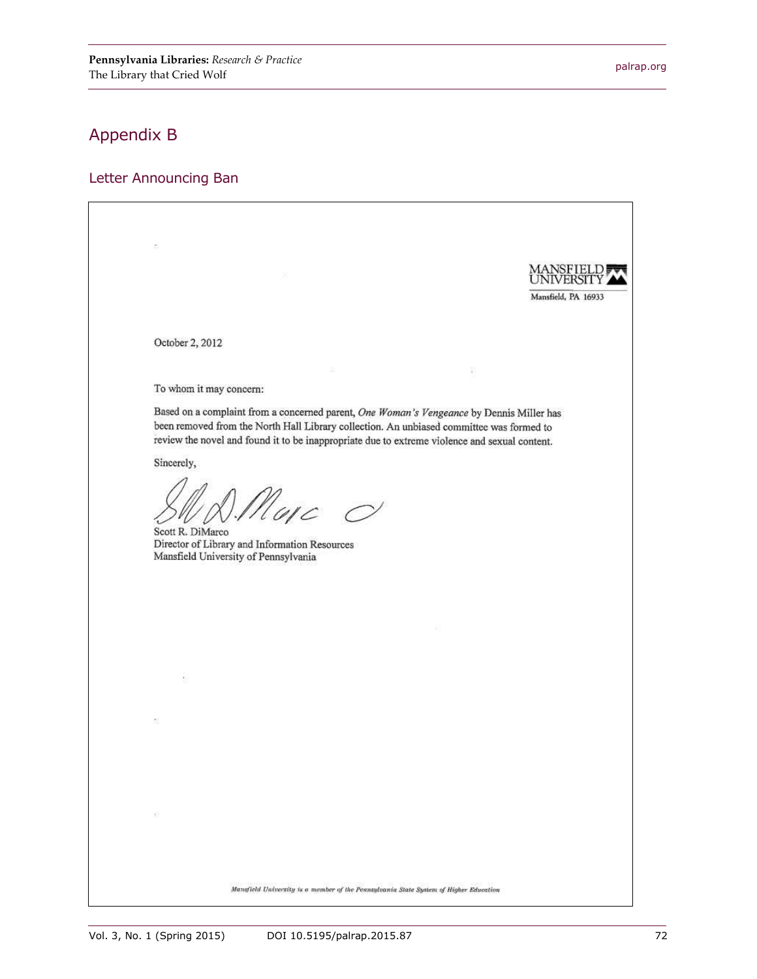## Appendix B

#### Letter Announcing Ban

Mansfield, PA 16933 October 2, 2012 ñ To whom it may concern: Based on a complaint from a concerned parent, One Woman's Vengeance by Dennis Miller has been removed from the North Hall Library collection. An unbiased committee was formed to review the novel and found it to be inappropriate due to extreme violence and sexual content. Sincerely, ). Maje  $\circ$ Scott R. DiMarco Director of Library and Information Resources Mansfield University of Pennsylvania Mansfield University is a member of the Pennsylvania State System of Higher Education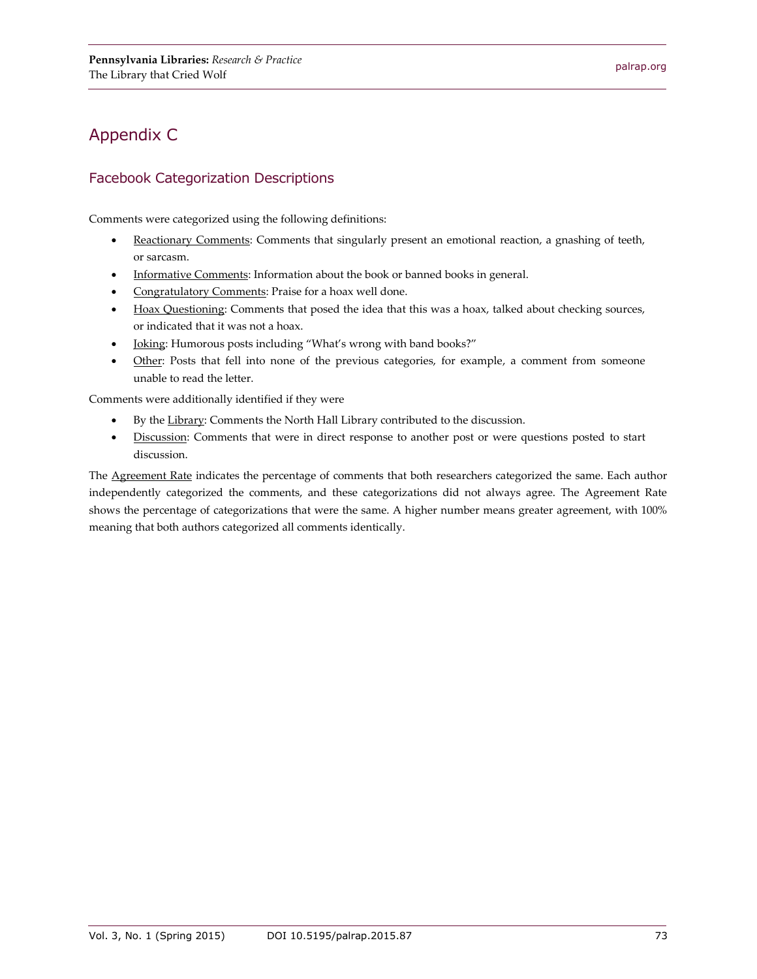## Appendix C

### Facebook Categorization Descriptions

Comments were categorized using the following definitions:

- Reactionary Comments: Comments that singularly present an emotional reaction, a gnashing of teeth, or sarcasm.
- Informative Comments: Information about the book or banned books in general.
- Congratulatory Comments: Praise for a hoax well done.
- Hoax Questioning: Comments that posed the idea that this was a hoax, talked about checking sources, or indicated that it was not a hoax.
- **Joking:** Humorous posts including "What's wrong with band books?"
- Other: Posts that fell into none of the previous categories, for example, a comment from someone unable to read the letter.

Comments were additionally identified if they were

- By the Library: Comments the North Hall Library contributed to the discussion.
- $\bullet$  Discussion: Comments that were in direct response to another post or were questions posted to start discussion.

The Agreement Rate indicates the percentage of comments that both researchers categorized the same. Each author independently categorized the comments, and these categorizations did not always agree. The Agreement Rate shows the percentage of categorizations that were the same. A higher number means greater agreement, with 100% meaning that both authors categorized all comments identically.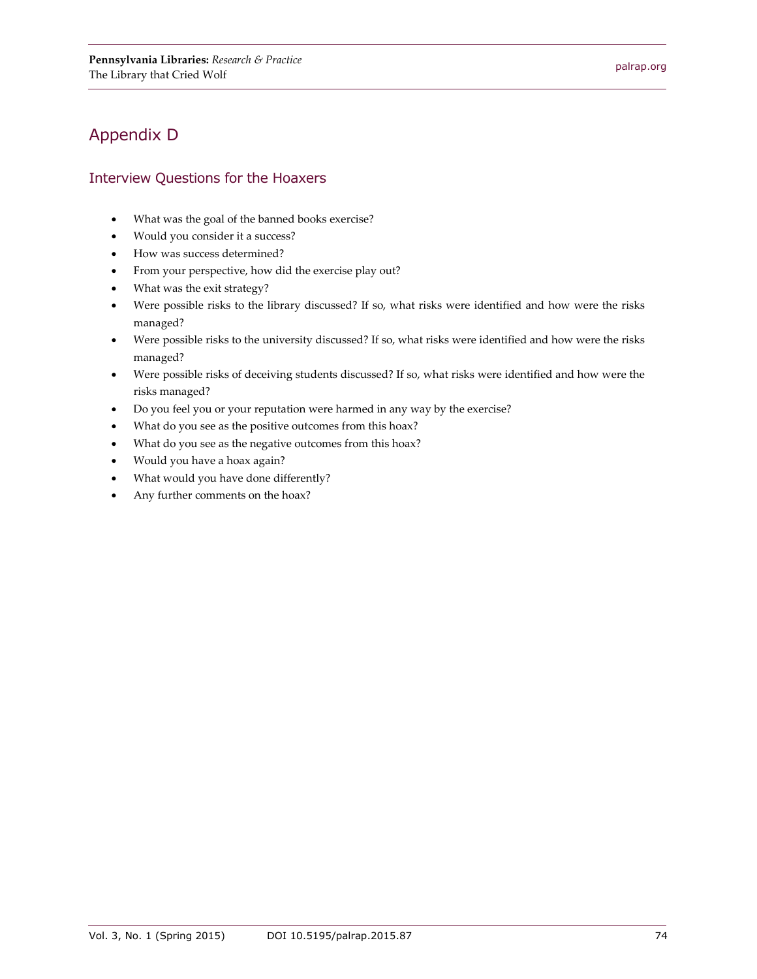## Appendix D

#### Interview Questions for the Hoaxers

- What was the goal of the banned books exercise?
- Would you consider it a success?
- How was success determined?
- From your perspective, how did the exercise play out?
- What was the exit strategy?
- Were possible risks to the library discussed? If so, what risks were identified and how were the risks managed?
- Were possible risks to the university discussed? If so, what risks were identified and how were the risks managed?
- Were possible risks of deceiving students discussed? If so, what risks were identified and how were the risks managed?
- Do you feel you or your reputation were harmed in any way by the exercise?
- What do you see as the positive outcomes from this hoax?
- What do you see as the negative outcomes from this hoax?
- Would you have a hoax again?
- What would you have done differently?
- Any further comments on the hoax?